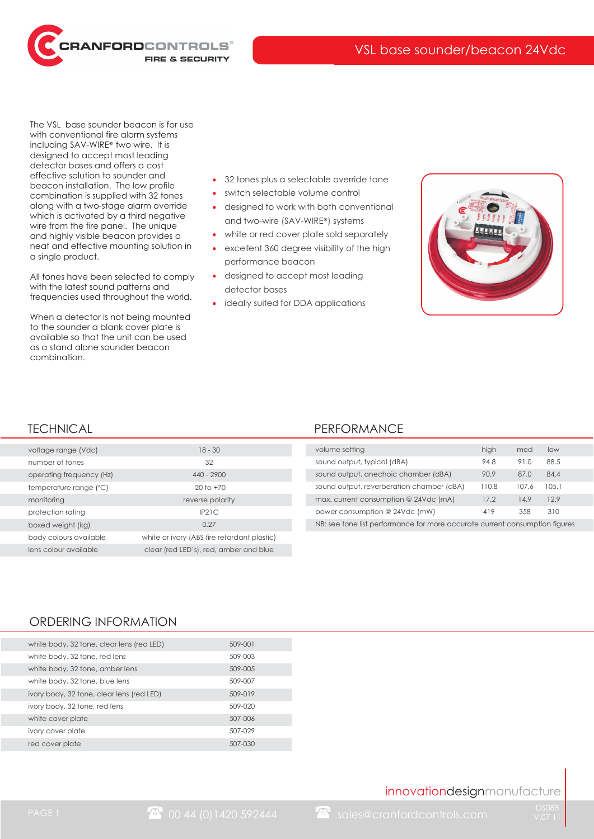RANFORDCONTROLS® **FIRE & SECURITY** 

The VSL base sounder beacon is for use with conventional fire alarm systems including SAV-WIRE® two wire. It is designed to accept most leading detector bases and offers a cost effective solution to sounder and beacon installation. The low profile combination is supplied with 32 tones along with a two-stage alarm override which is activated by a third negative wire from the fire panel. The unique and highly visible beacon provides a neat and effective mounting solution in a single product.

All tones have been selected to comply with the latest sound patterns and frequencies used throughout the world.

When a detector is not being mounted to the sounder a blank cover plate is available so that the unit can be used as a stand alone sounder beacon combination.

- 32 tones plus a selectable override tone
- ? switch selectable volume control
- ? designed to work with both conventional and two-wire (SAV-WIRE®) systems
- white or red cover plate sold separately
- ? excellent 360 degree visibility of the high performance beacon
- designed to accept most leading detector bases
- ideally suited for DDA applications



| voltage range (Vdc)      | $18 - 30$                                   |
|--------------------------|---------------------------------------------|
| number of tones          | 32                                          |
| operating frequency (Hz) | $440 - 2900$                                |
| temperature range (°C)   | $-20$ to $+70$                              |
| monitoring               | reverse polarity                            |
| protection rating        | IP21C                                       |
| boxed weight (kg)        | 0.27                                        |
| body colours available   | white or ivory (ABS fire retardant plastic) |
| lens colour available    | clear (red LED's), red, amber and blue      |

#### TECHNICAL **PERFORMANCE**

| volume setting                                                              | high  | med   | low   |  |
|-----------------------------------------------------------------------------|-------|-------|-------|--|
| sound output, typical (dBA)                                                 | 94.8  | 91.0  | 88.5  |  |
| sound output, anechoic chamber (dBA)                                        | 90.9  | 87.0  | 84.4  |  |
| sound output, reverberation chamber (dBA)                                   | 110.8 | 107.6 | 105.1 |  |
| max. current consumption @ 24Vdc (mA)                                       | 17.2  | 14.9  | 129   |  |
| power consumption @ 24Vdc (mW)                                              | 419   | 358   | 310   |  |
| NB: see tone list performance for more accurate current consumption figures |       |       |       |  |

#### ORDERING INFORMATION

| white body, 32 tone, clear lens (red LED) | 509-001 |
|-------------------------------------------|---------|
| white body, 32 tone, red lens             | 509-003 |
| white body, 32 tone, amber lens           | 509-005 |
| white body, 32 tone, blue lens            | 509-007 |
| ivory body, 32 tone, clear lens (red LED) | 509-019 |
| ivory body, 32 tone, red lens             | 509-020 |
| white cover plate                         | 507-006 |
| ivory cover plate                         | 507-029 |
| red cover plate                           | 507-030 |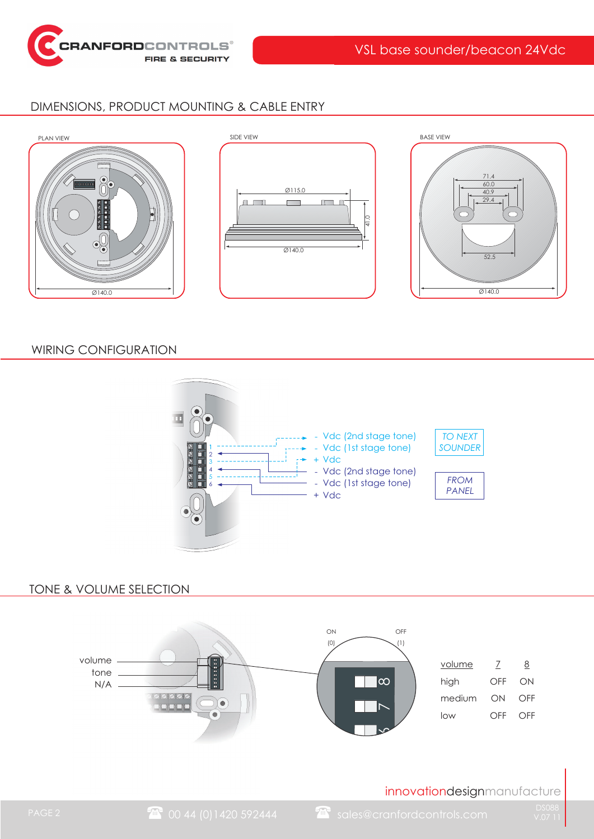

## DIMENSIONS, PRODUCT MOUNTING & CABLE ENTRY





### WIRING CONFIGURATION



#### TONE & VOLUME SELECTION

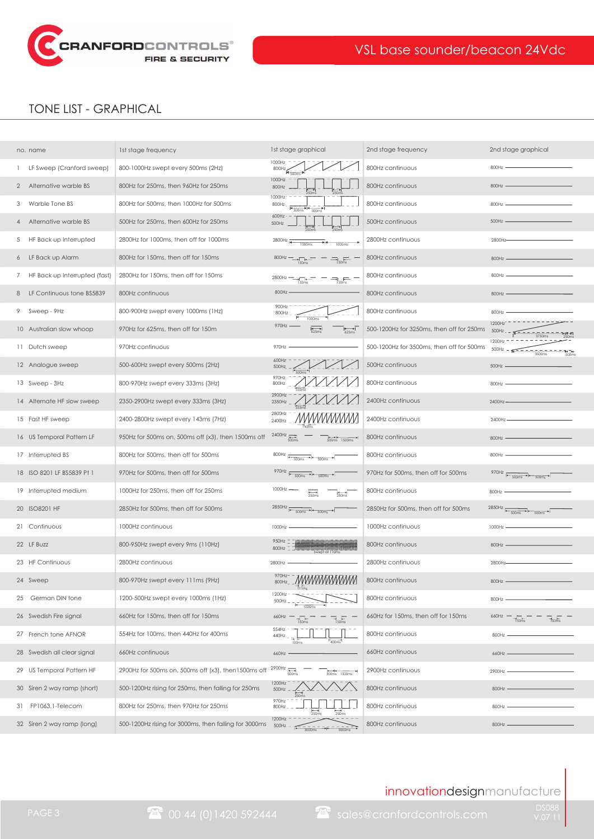

# TONE LIST - GRAPHICAL

|                | no. name                      | 1st stage frequency                                   | 1st stage graphical                                                                           | 2nd stage frequency                       | 2nd stage graphical                                               |
|----------------|-------------------------------|-------------------------------------------------------|-----------------------------------------------------------------------------------------------|-------------------------------------------|-------------------------------------------------------------------|
|                | LF Sweep (Cranford sweep)     | 800-1000Hz swept every 500ms (2Hz)                    | 1000Hz<br>800Hz                                                                               | 800Hz continuous                          | 800Hz                                                             |
| $\overline{2}$ | Alternative warble BS         | 800Hz for 250ms, then 960Hz for 250ms                 | 1000Hz<br>800Hz                                                                               | 800Hz continuous                          | 800Hz                                                             |
| 3              | Warble Tone BS                | 800Hz for 500ms, then 1000Hz for 500ms                | 1000Hz<br>800Hz<br>4/500ms<br>500ms                                                           | 800Hz continuous                          | 800Hz                                                             |
| 4              | Alternative warble BS         | 500Hz for 250ms, then 600Hz for 250ms                 | 600Hz<br>500Hz                                                                                | 500Hz continuous                          | 500Hz                                                             |
| 5              | HF Back up Interrupted        | 2800Hz for 1000ms, then off for 1000ms                | 2800Hz<br>$\rightarrow$<br>1000ms<br>1000ms                                                   | 2800Hz continuous                         | 2800Hz                                                            |
| 6              | LF Back up Alarm              | 800Hz for 150ms, then off for 150ms                   | $800Hz$ $\longrightarrow$ $\frac{1}{150ms}$<br>$\overline{\overline{\overline{\eta}}_{50ms}}$ | 800Hz continuous                          | 800Hz                                                             |
| 7              | HF Back up Interrupted (fast) | 2800Hz for 150ms, then off for 150ms                  | $2800Hz -$<br>$\frac{1}{150\text{ms}}$ = $\frac{1}{150\text{ms}}$ =                           | 800Hz continuous                          | 800Hz                                                             |
| 8              | LF Continuous tone BS5839     | 800Hz continuous                                      | 800Hz-                                                                                        | 800Hz continuous                          | 800Hz                                                             |
| 9              | Sweep - 9Hz                   | 800-900Hz swept every 1000ms (1Hz)                    | 900Hz<br>800Hz<br>1000ms                                                                      | 800Hz continuous                          | 800Hz                                                             |
|                | 10 Australian slow whoop      | 970Hz for 625ms, then off for 150m                    | 970Hz -<br>$^{4}$                                                                             | 500-1200Hz for 3250ms, then off for 250ms | 1200Hz<br>3750m                                                   |
|                | 11 Dutch sweep                | 970Hz continuous                                      | 970Hz                                                                                         | 500-1200Hz for 3500ms, then off for 500ms | 1200H:<br>500Hz<br>$\frac{1}{500}$ m<br>3500ms                    |
|                | 12 Analogue sweep             | 500-600Hz swept every 500ms (2Hz)                     | 600Hz<br>500Hz                                                                                | 500Hz continuous                          | 500Hz                                                             |
|                | 13 Sweep - 3Hz                | 800-970Hz swept every 333ms (3Hz)                     | 970Hz<br>800Hz                                                                                | 800Hz continuous                          | 800Hz                                                             |
|                | 14 Alternate HF slow sweep    | 2350-2900Hz swept every 333ms (3Hz)                   | 2900Hz<br>2350Hz                                                                              | 2400Hz continuous                         | 2400Hz-                                                           |
|                | 15 Fast HF sweep              | 2400-2800Hz swept every 143ms (7Hz)                   | 2800Hz<br>2400Hz                                                                              | 2400Hz continuous                         | 2400Hz                                                            |
|                | 16 US Temporal Pattern LF     | 950Hz for 500ms on, 500ms off (x3), then 1500ms off   | 2400Hz $\frac{1}{\sqrt{1-\frac{1}{2}}\sqrt{1-\frac{1}{2}}}$<br>$14 + 14$<br>500ms 1500ms      | 800Hz continuous                          | 800Hz                                                             |
|                | 17 Interrupted BS             | 800Hz for 500ms, then off for 500ms                   | $800Hz \overline{f = \frac{1}{500ms} + 500ms}$                                                | 800Hz continuous                          | 800Hz                                                             |
|                | 18 ISO 8201 LF BS5839 Pt 1    | 970Hz for 500ms, then off for 500ms                   | 970Hz $\overline{1}$ 500ms $\overline{1}$ 500ms $\overline{1}$                                | 970Hz for 500ms, then off for 500ms       | 970Hz $\frac{1}{100}$<br>500ms                                    |
|                | 19 Interrupted medium         | 1000Hz for 250ms, then off for 250ms                  | 1000Hz                                                                                        | 800Hz continuous                          | 800Hz                                                             |
|                | 20 ISO8201 HF                 | 2850Hz for 500ms, then off for 500ms                  | $2850Hz$ $\frac{1}{ }$ $\frac{1}{500ms}$ $\frac{1}{2}$ $\frac{1}{500ms}$ $\frac{1}{2}$        | 2850Hz for 500ms, then off for 500ms      | 2850Hz<br>$\frac{1}{\sqrt{100}}$ + $\frac{1}{\sqrt{100}}$ + 500ms |
|                | 21 Continuous                 | 1000Hz continuous                                     | 1000Hz                                                                                        | 1000Hz continuous                         | 1000Hz                                                            |
|                | 22 LF BUZZ                    | 800-950Hz swept every 9ms (110Hz)                     | 950Hz<br>800Hz                                                                                | 800Hz continuous                          | 800Hz -                                                           |
|                | 23 HF Continuous              | 2800Hz continuous                                     | 2800Hz                                                                                        | 2800Hz continuous                         | 2800Hz-                                                           |
|                | 24 Sweep                      | 800-970Hz swept every 111ms (9Hz)                     | 970Hz-<br><i>MWWWW</i><br>800Hz                                                               | 800Hz continuous                          | 800Hz -                                                           |
| 25             | German DIN tone               | 1200-500Hz swept every 1000ms (1Hz)                   | 1200Hz-<br>500Hz                                                                              | 800Hz continuous                          | 800Hz                                                             |
|                | 26 Swedish Fire signal        | 660Hz for 150ms, then off for 150ms                   | 660Hz<br>$\overline{\overline{z}}$ <sub>150ms</sub>                                           | 660Hz for 150ms, then off for 150ms       | 660Hz<br>$\frac{1}{150}$ hs<br>$\frac{1}{150}$                    |
|                | 27 French tone AFNOR          | 554Hz for 100ms, then 440Hz for 400ms                 | 554Hz<br>440Hz                                                                                | 800Hz continuous                          | 800Hz                                                             |
|                | 28 Swedish all clear signal   | 660Hz continuous                                      | 660Hz                                                                                         | 660Hz continuous                          | 660Hz -                                                           |
|                | 29 US Temporal Pattern HF     | 2900Hz for 500ms on, 500ms off (x3), then1500ms off   | 2900Hz $\frac{1}{\sqrt{1-\frac{1}{10}}}}$<br>$500ms$ 1500ms                                   | 2900Hz continuous                         | 2900Hz                                                            |
|                | 30 Siren 2 way ramp (short)   | 500-1200Hz rising for 250ms, then falling for 250ms   | 1200Hz<br>500Hz                                                                               | 800Hz continuous                          | 800Hz                                                             |
| 31             | FP1063.1-Telecom              | 800Hz for 250ms, then 970Hz for 250ms                 | 970Hz<br>800Hz                                                                                | 800Hz continuous                          | 800Hz                                                             |
|                | 32 Siren 2 way ramp (long)    | 500-1200Hz rising for 3000ms, then falling for 3000ms | 1200Hz<br>500Hz<br>3000ms<br>3000ms                                                           | 800Hz continuous                          | 800Hz -                                                           |